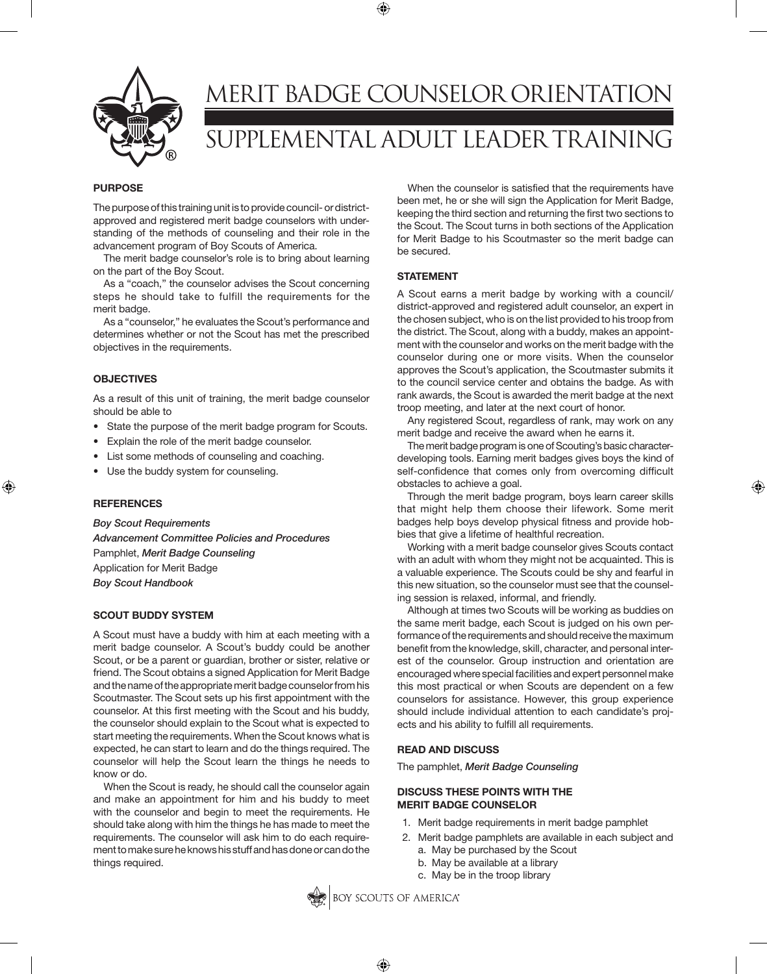

# MERIT BADGE COUNSELOR ORIENTATION SUPPLEMENTAL ADULT LEADER TRAINING

⊕

### **PURPOSE**

The purpose of this training unit is to provide council- or districtapproved and registered merit badge counselors with understanding of the methods of counseling and their role in the advancement program of Boy Scouts of America.

The merit badge counselor's role is to bring about learning on the part of the Boy Scout.

As a "coach," the counselor advises the Scout concerning steps he should take to fulfill the requirements for the merit badge.

As a "counselor," he evaluates the Scout's performance and determines whether or not the Scout has met the prescribed objectives in the requirements.

# **OBJECTIVES**

As a result of this unit of training, the merit badge counselor should be able to

- State the purpose of the merit badge program for Scouts.
- Explain the role of the merit badge counselor.
- List some methods of counseling and coaching.
- Use the buddy system for counseling.

#### **REFERENCES**

⊕

*Boy Scout Requirements Advancement Committee Policies and Procedures* Pamphlet, *Merit Badge Counseling* Application for Merit Badge *Boy Scout Handbook*

# **SCOUT BUDDY SYSTEM**

A Scout must have a buddy with him at each meeting with a merit badge counselor. A Scout's buddy could be another Scout, or be a parent or guardian, brother or sister, relative or friend. The Scout obtains a signed Application for Merit Badge and the name of the appropriate merit badge counselor from his Scoutmaster. The Scout sets up his first appointment with the counselor. At this first meeting with the Scout and his buddy, the counselor should explain to the Scout what is expected to start meeting the requirements. When the Scout knows what is expected, he can start to learn and do the things required. The counselor will help the Scout learn the things he needs to know or do.

When the Scout is ready, he should call the counselor again and make an appointment for him and his buddy to meet with the counselor and begin to meet the requirements. He should take along with him the things he has made to meet the requirements. The counselor will ask him to do each requirement to make sure he knows his stuff and has done or can do the things required.

When the counselor is satisfied that the requirements have been met, he or she will sign the Application for Merit Badge, keeping the third section and returning the first two sections to the Scout. The Scout turns in both sections of the Application for Merit Badge to his Scoutmaster so the merit badge can be secured.

### **STATEMENT**

A Scout earns a merit badge by working with a council/ district-approved and registered adult counselor, an expert in the chosen subject, who is on the list provided to his troop from the district. The Scout, along with a buddy, makes an appointment with the counselor and works on the merit badge with the counselor during one or more visits. When the counselor approves the Scout's application, the Scoutmaster submits it to the council service center and obtains the badge. As with rank awards, the Scout is awarded the merit badge at the next troop meeting, and later at the next court of honor.

Any registered Scout, regardless of rank, may work on any merit badge and receive the award when he earns it.

The merit badge program is one of Scouting's basic characterdeveloping tools. Earning merit badges gives boys the kind of self-confidence that comes only from overcoming difficult obstacles to achieve a goal.

⊕

Through the merit badge program, boys learn career skills that might help them choose their lifework. Some merit badges help boys develop physical fitness and provide hobbies that give a lifetime of healthful recreation.

Working with a merit badge counselor gives Scouts contact with an adult with whom they might not be acquainted. This is a valuable experience. The Scouts could be shy and fearful in this new situation, so the counselor must see that the counseling session is relaxed, informal, and friendly.

Although at times two Scouts will be working as buddies on the same merit badge, each Scout is judged on his own performance of the requirements and should receive the maximum benefit from the knowledge, skill, character, and personal interest of the counselor. Group instruction and orientation are encouraged where special facilities and expert personnel make this most practical or when Scouts are dependent on a few counselors for assistance. However, this group experience should include individual attention to each candidate's projects and his ability to fulfill all requirements.

# **READ AND DISCUSS**

The pamphlet, *Merit Badge Counseling*

# **DISCUSS THESE POINTS WITH THE MERIT BADGE COUNSELOR**

- 1. Merit badge requirements in merit badge pamphlet
- 2. Merit badge pamphlets are available in each subject and
	- a. May be purchased by the Scout
	- b. May be available at a library
	- c. May be in the troop library



⊕